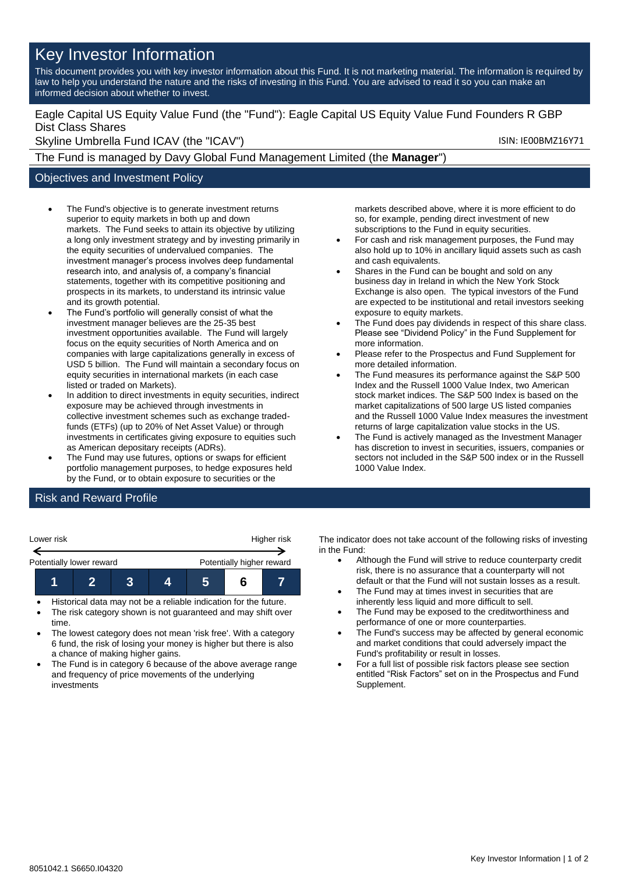# Key Investor Information

This document provides you with key investor information about this Fund. It is not marketing material. The information is required by law to help you understand the nature and the risks of investing in this Fund. You are advised to read it so you can make an informed decision about whether to invest.

### Eagle Capital US Equity Value Fund (the "Fund"): Eagle Capital US Equity Value Fund Founders R GBP Dist Class Shares

Skyline Umbrella Fund ICAV (the "ICAV") Skyline Umbrella Fund ICAV (the "ICAV")

The Fund is managed by Davy Global Fund Management Limited (the **Manager**")

### Objectives and Investment Policy

- The Fund's objective is to generate investment returns superior to equity markets in both up and down markets. The Fund seeks to attain its objective by utilizing a long only investment strategy and by investing primarily in the equity securities of undervalued companies. The investment manager's process involves deep fundamental research into, and analysis of, a company's financial statements, together with its competitive positioning and prospects in its markets, to understand its intrinsic value and its growth potential.
- The Fund's portfolio will generally consist of what the investment manager believes are the 25-35 best investment opportunities available. The Fund will largely focus on the equity securities of North America and on companies with large capitalizations generally in excess of USD 5 billion. The Fund will maintain a secondary focus on equity securities in international markets (in each case listed or traded on Markets).
- In addition to direct investments in equity securities, indirect exposure may be achieved through investments in collective investment schemes such as exchange tradedfunds (ETFs) (up to 20% of Net Asset Value) or through investments in certificates giving exposure to equities such as American depositary receipts (ADRs).
- The Fund may use futures, options or swaps for efficient portfolio management purposes, to hedge exposures held by the Fund, or to obtain exposure to securities or the

markets described above, where it is more efficient to do so, for example, pending direct investment of new subscriptions to the Fund in equity securities.

- For cash and risk management purposes, the Fund may also hold up to 10% in ancillary liquid assets such as cash and cash equivalents.
- Shares in the Fund can be bought and sold on any business day in Ireland in which the New York Stock Exchange is also open. The typical investors of the Fund are expected to be institutional and retail investors seeking exposure to equity markets.
- The Fund does pay dividends in respect of this share class. Please see "Dividend Policy" in the Fund Supplement for more information.
- Please refer to the Prospectus and Fund Supplement for more detailed information.
- The Fund measures its performance against the S&P 500 Index and the Russell 1000 Value Index, two American stock market indices. The S&P 500 Index is based on the market capitalizations of 500 large US listed companies and the Russell 1000 Value Index measures the investment returns of large capitalization value stocks in the US.
- The Fund is actively managed as the Investment Manager has discretion to invest in securities, issuers, companies or sectors not included in the S&P 500 index or in the Russell 1000 Value Index.

## Risk and Reward Profile

| Lower risk               | Higher risk               |  |  |  |  |  |
|--------------------------|---------------------------|--|--|--|--|--|
| Potentially lower reward | Potentially higher reward |  |  |  |  |  |
|                          |                           |  |  |  |  |  |

- Historical data may not be a reliable indication for the future.
- The risk category shown is not guaranteed and may shift over time.
- The lowest category does not mean 'risk free'. With a category 6 fund, the risk of losing your money is higher but there is also a chance of making higher gains.
- The Fund is in category 6 because of the above average range and frequency of price movements of the underlying investments

The indicator does not take account of the following risks of investing in the Fund:

- Although the Fund will strive to reduce counterparty credit risk, there is no assurance that a counterparty will not default or that the Fund will not sustain losses as a result.
- The Fund may at times invest in securities that are inherently less liquid and more difficult to sell.
- The Fund may be exposed to the creditworthiness and performance of one or more counterparties.
- The Fund's success may be affected by general economic and market conditions that could adversely impact the Fund's profitability or result in losses.
- For a full list of possible risk factors please see section entitled "Risk Factors" set on in the Prospectus and Fund Supplement.